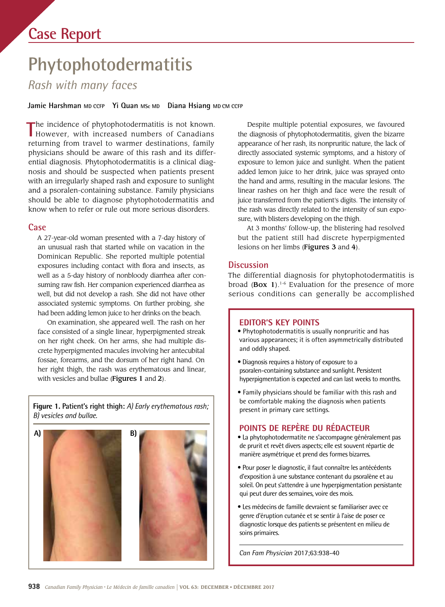# **Case Report**

# **Phytophotodermatitis**

*Rash with many faces* 

Jamie Harshman MD CCFP Yi Quan MSc MD Diana Hsiang MD CM CCFP

The incidence of phytophotodermatitis is not known.<br>
However, with increased numbers of Canadians The incidence of phytophotodermatitis is not known. returning from travel to warmer destinations, family physicians should be aware of this rash and its differential diagnosis. Phytophotodermatitis is a clinical diagnosis and should be suspected when patients present with an irregularly shaped rash and exposure to sunlight and a psoralen-containing substance. Family physicians should be able to diagnose phytophotodermatitis and know when to refer or rule out more serious disorders.

### **Case**

A 27-year-old woman presented with a 7-day history of an unusual rash that started while on vacation in the Dominican Republic. She reported multiple potential exposures including contact with flora and insects, as well as a 5-day history of nonbloody diarrhea after consuming raw fsh. Her companion experienced diarrhea as well, but did not develop a rash. She did not have other associated systemic symptoms. On further probing, she had been adding lemon juice to her drinks on the beach.

On examination, she appeared well. The rash on her face consisted of a single linear, hyperpigmented streak on her right cheek. On her arms, she had multiple discrete hyperpigmented macules involving her antecubital fossae, forearms, and the dorsum of her right hand. On her right thigh, the rash was erythematous and linear, with vesicles and bullae (Figures 1 and 2).

**Figure 1. Patient's right thigh:** *A) Early erythematous rash; B) vesicles and bullae.* 



Despite multiple potential exposures, we favoured the diagnosis of phytophotodermatitis, given the bizarre appearance of her rash, its nonpruritic nature, the lack of directly associated systemic symptoms, and a history of exposure to lemon juice and sunlight. When the patient added lemon juice to her drink, juice was sprayed onto the hand and arms, resulting in the macular lesions. The linear rashes on her thigh and face were the result of juice transferred from the patient's digits. The intensity of the rash was directly related to the intensity of sun exposure, with blisters developing on the thigh.

At 3 months' follow-up, the blistering had resolved but the patient still had discrete hyperpigmented lesions on her limbs (Figures 3 and 4).

# **Discussion**

 The differential diagnosis for phytophotodermatitis is broad (Box 1).<sup>1-6</sup> Evaluation for the presence of more serious conditions can generally be accomplished

### **EDITOR'S KEY POINTS**

• Phytophotodermatitis is usually nonpruritic and has various appearances; it is often asymmetrically distributed and oddly shaped.

- Diagnosis requires a history of exposure to a psoralen-containing substance and sunlight. Persistent hyperpigmentation is expected and can last weeks to months.
- Family physicians should be familiar with this rash and be comfortable making the diagnosis when patients present in primary care settings.

# **POINTS DE REPÈRE DU RÉDACTEUR**

- manière asymétrique et prend des formes bizarres. • La phytophotodermatite ne s'accompagne généralement pas de prurit et revêt divers aspects; elle est souvent répartie de
- Pour poser le diagnostic, il faut connaître les antécédents d'exposition à une substance contenant du psoralène et au soleil. On peut s'attendre à une hyperpigmentation persistante qui peut durer des semaines, voire des mois.
- Les médecins de famille devraient se familiariser avec ce genre d'éruption cutanée et se sentir à l'aise de poser ce diagnostic lorsque des patients se présentent en milieu de soins primaires.

*Can Fam Physician* 2017;63:938-40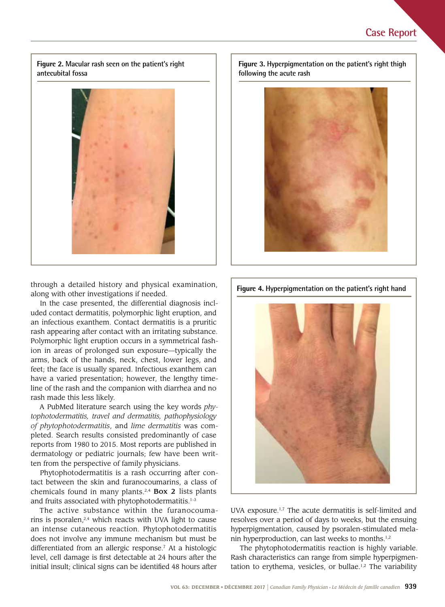**Figure 2. Macular rash seen on the patient's right antecubital fossa** 



through a detailed history and physical examination, along with other investigations if needed.

In the case presented, the differential diagnosis included contact dermatitis, polymorphic light eruption, and an infectious exanthem. Contact dermatitis is a pruritic rash appearing after contact with an irritating substance. Polymorphic light eruption occurs in a symmetrical fashion in areas of prolonged sun exposure—typically the arms, back of the hands, neck, chest, lower legs, and feet; the face is usually spared. Infectious exanthem can have a varied presentation; however, the lengthy timeline of the rash and the companion with diarrhea and no rash made this less likely.

 *tophotodermatitis, travel and dermatitis, pathophysiology*  pleted. Search results consisted predominantly of case A PubMed literature search using the key words *phyof phytophotodermatitis*, and *lime dermatitis* was comreports from 1980 to 2015. Most reports are published in dermatology or pediatric journals; few have been written from the perspective of family physicians.

Phytophotodermatitis is a rash occurring after contact between the skin and furanocoumarins, a class of chemicals found in many plants.<sup>2,4</sup> Box 2 lists plants and fruits associated with phytophotodermatitis.<sup>1-3</sup>

The active substance within the furanocoumarins is psoralen, $2,4$  which reacts with UVA light to cause an intense cutaneous reaction. Phytophotodermatitis does not involve any immune mechanism but must be differentiated from an allergic response.7 At a histologic level, cell damage is frst detectable at 24 hours after the initial insult; clinical signs can be identifed 48 hours after

**Figure 3. Hyperpigmentation on the patient's right thigh following the acute rash** 



**Figure 4. Hyperpigmentation on the patient's right hand** 



UVA exposure.1,7 The acute dermatitis is self-limited and resolves over a period of days to weeks, but the ensuing hyperpigmentation, caused by psoralen-stimulated melanin hyperproduction, can last weeks to months.<sup>1,2</sup>

The phytophotodermatitis reaction is highly variable. Rash characteristics can range from simple hyperpigmentation to erythema, vesicles, or bullae.<sup>1,2</sup> The variability